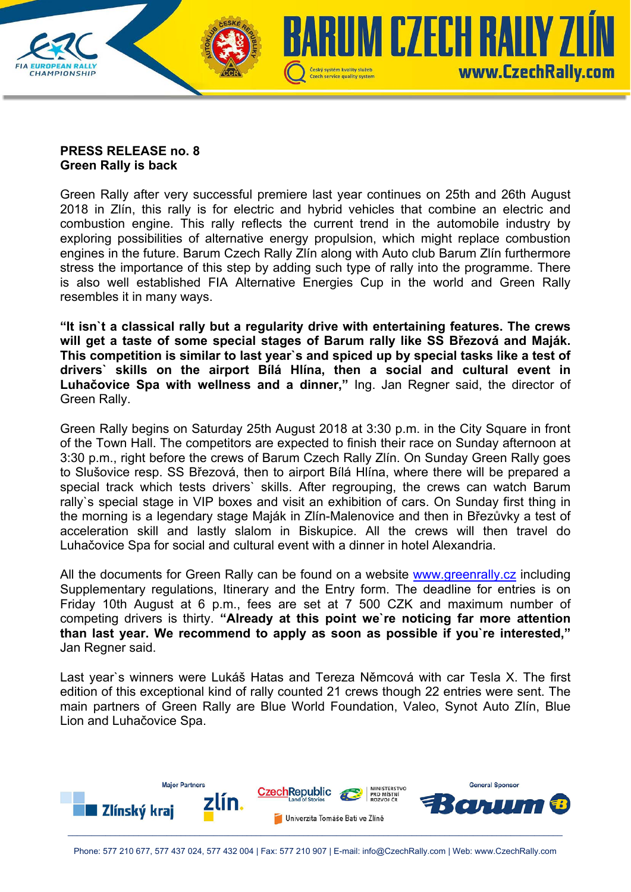

## **PRESS RELEASE no. 8 Green Rally is back**

Green Rally after very successful premiere last year continues on 25th and 26th August 2018 in Zlín, this rally is for electric and hybrid vehicles that combine an electric and combustion engine. This rally reflects the current trend in the automobile industry by exploring possibilities of alternative energy propulsion, which might replace combustion engines in the future. Barum Czech Rally Zlín along with Auto club Barum Zlín furthermore stress the importance of this step by adding such type of rally into the programme. There is also well established FIA Alternative Energies Cup in the world and Green Rally resembles it in many ways.

**"It isn`t a classical rally but a regularity drive with entertaining features. The crews will get a taste of some special stages of Barum rally like SS Březová and Maják. This competition is similar to last year`s and spiced up by special tasks like a test of drivers` skills on the airport Bílá Hlína, then a social and cultural event in Luhačovice Spa with wellness and a dinner,"** Ing. Jan Regner said, the director of Green Rally.

Green Rally begins on Saturday 25th August 2018 at 3:30 p.m. in the City Square in front of the Town Hall. The competitors are expected to finish their race on Sunday afternoon at 3:30 p.m., right before the crews of Barum Czech Rally Zlín. On Sunday Green Rally goes to Slušovice resp. SS Březová, then to airport Bílá Hlína, where there will be prepared a special track which tests drivers` skills. After regrouping, the crews can watch Barum rally`s special stage in VIP boxes and visit an exhibition of cars. On Sunday first thing in the morning is a legendary stage Maják in Zlín-Malenovice and then in Březůvky a test of acceleration skill and lastly slalom in Biskupice. All the crews will then travel do Luhačovice Spa for social and cultural event with a dinner in hotel Alexandria.

All the documents for Green Rally can be found on a website www.greenrally.cz including Supplementary regulations, Itinerary and the Entry form. The deadline for entries is on Friday 10th August at 6 p.m., fees are set at 7 500 CZK and maximum number of competing drivers is thirty. **"Already at this point we`re noticing far more attention than last year. We recommend to apply as soon as possible if you`re interested,"** Jan Regner said.

Last year`s winners were Lukáš Hatas and Tereza Němcová with car Tesla X. The first edition of this exceptional kind of rally counted 21 crews though 22 entries were sent. The main partners of Green Rally are Blue World Foundation, Valeo, Synot Auto Zlín, Blue Lion and Luhačovice Spa.